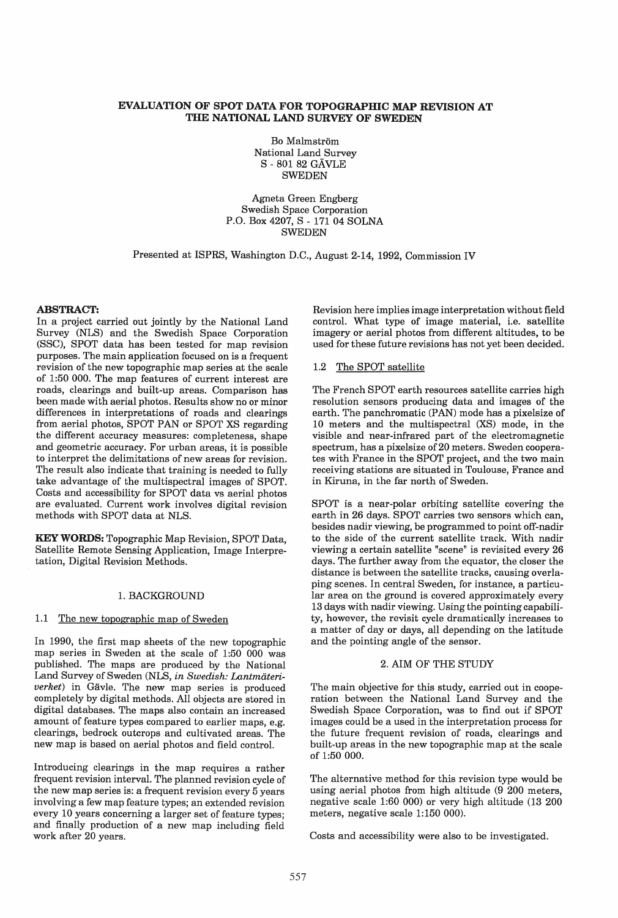# EVALUATION OF SPOT DATA FOR TOPOGRAPHIC MAP REVISION AT THE NATIONAL LAND SURVEY OF SWEDEN

Bo Malmström National Land Survey S - 801 82 GAVLE SWEDEN

Agneta Green Engberg Swedish Space Corporation P.O. Box 4207, S - 171 04 SOLNA SWEDEN

Presented at ISPRS, Washington D.C., August 2-14, 1992, Commission IV

### ABSTRACT:

In a project carried out jointly by the National Land Survey (NLS) and the Swedish Space Corporation (SSC), SPOT data has been tested for map revision purposes. The main application focused on is a frequent revision of the new topographic map series at the scale of 1:50 000. The map features of current interest are roads, clearings and built-up areas. Comparison has been made with aerial photos. Results show no or minor differences in interpretations of roads and clearings from aerial photos, SPOT PAN or SPOT XS regarding the different accuracy measures: completeness, shape and geometric accuracy. For urban areas, it is possible to interpret the delimitations of new areas for revision. The result also indicate that training is needed to fully take advantage of the multispectral images of SPOT. Costs and accessibility for SPOT data vs aerial photos are evaluated. Current work involves digital revision methods with SPOT data at NLS.

KEY WORDS: Topographic Map Revision, SPOT Data, Satellite Remote Sensing Application, Image Interpretation, Digital Revision Methods.

#### 1. BACKGROUND

# 1.1 The new topographic map of Sweden

In 1990, the first map sheets of the new topographic map series in Sweden at the scale of 1:50 000 was published. The maps are produced by the National Land Survey of Sweden (NLS, *in Swedish: Lantmateriverket*) in Gävle. The new map series is produced completely by digital methods. All objects are stored in digital databases. The maps also contain an increased amount of feature types compared to earlier maps, e.g. clearings, bedrock outcrops and cultivated areas. The new map is based on aerial photos and field control.

Introducing clearings in the map requires a rather frequent revision interval. The planned revision cycle of the new map series is: a frequent revision every 5 years involving a few map feature types; an extended revision every 10 years concerning a larger set of feature types; and finally production of a new map including field work after 20 years.

Revision here implies image interpretation without field control. What type of image material, i.e. satellite imagery or aerial photos from different altitudes, to be used for these future revisions has not yet been decided.

#### 1.2 The SPOT satellite

The French SPOT earth resources satellite carries high resolution sensors producing data and images of the earth. The panchromatic (PAN) mode has a pixelsize of 10 meters and the multispectral (XS) mode, in the visible and near-infrared part of the electromagnetic spectrum, has a pixelsize of 20 meters. Sweden cooperates with France in the SPOT project, and the two main receiving stations are situated in Toulouse, France and in Kiruna, in the far north of Sweden.

SPOT is a near-polar orbiting satellite covering the earth in 26 days. SPOT carries two sensors which can, besides nadir viewing, be programmed to point off-nadir to the side of the current satellite track. With nadir viewing a certain satellite "scene" is revisited every 26 days. The further away from the equator, the closer the distance is between the satellite tracks, causing overlaping scenes. In central Sweden, for instance, a particular area on the ground is covered approximately every 13 days with nadir viewing. Using the pointing capability, however, the revisit cycle dramatically increases to a matter of day or days, all depending on the latitude and the pointing angle of the sensor.

### 2. AIM OF THE STUDY

The main objective for this study, carried out in cooperation between the National Land Survey and the Swedish Space Corporation, was to find out if SPOT images could be a used in the interpretation process for the future frequent revision of roads, clearings and built-up areas in the new topographic map at the scale of 1:50 000.

The alternative method for this revision type would be using aerial photos from high altitude (9 200 meters, negative scale 1:60 000) or very high altitude (13 200 meters, negative scale 1:150 000).

Costs and accessibility were also to be investigated.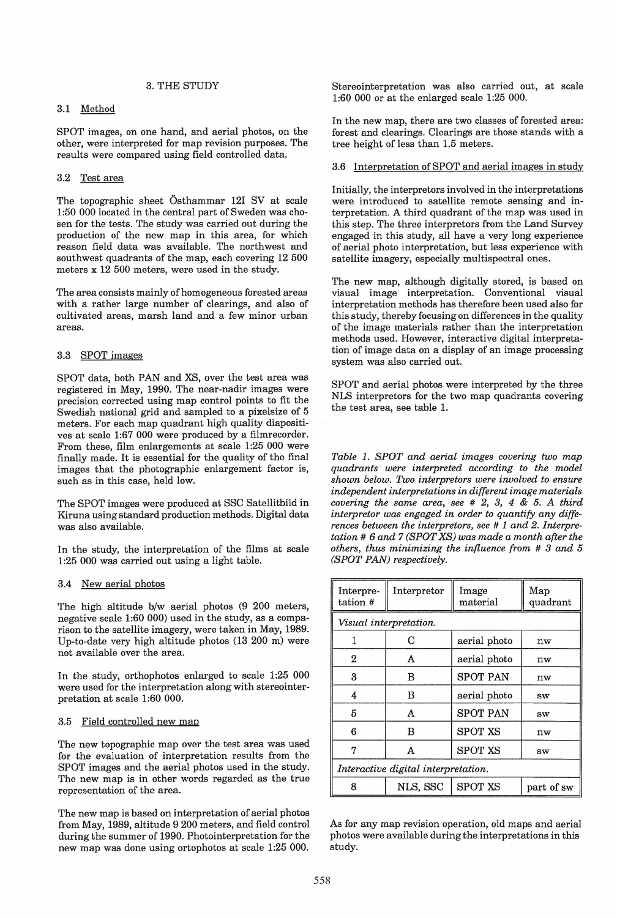### 3. THE STUDY

### 3.1 Method

SPOT images, on one hand, and aerial photos, on the other, were interpreted for map revision purposes. The results were compared using field controlled data.

# 3.2 Test area

The topographic sheet Osthammar 121 SV at scale 1:50 000 located in the central part of Sweden was chosen for the tests. The study was carried out during the production of the new map in this area, for which reason field data was available. The northwest and southwest quadrants of the map, each covering 12 500 meters x 12 500 meters, were used in the study.

The area consists mainly of homogeneous forested areas with a rather large number of clearings, and also of cultivated areas, marsh land and a few minor urban areas.

### 3.3 SPOT images

SPOT data, both PAN and XS, over the test area was registered in May, 1990. The near-nadir images were precision corrected using map control points to fit the Swedish national grid and sampled to a pixelsize of 5 meters. For each map quadrant high quality diapositives at scale 1:67 000 were produced by a filmrecorder. From these, film enlargements at scale 1:25 000 were finally made. It is essential for the quality of the final images that the photographic enlargement factor is, such as in this case, held low.

The SPOT images were produced at SSC Satellitbild in Kiruna using standard production methods. Digital data was also available.

In the study, the interpretation of the films at scale 1:25 000 was carried out using a light table.

### 3.4 New aerial photos

The high altitude b/w aerial photos (9 200 meters, negative scale 1:60 000) used in the study, as a comparison to the satellite imagery, were taken in May, 1989. Up-to-date very high altitude photos (13 200 m) were not available over the area.

In the study, orthophotos enlarged to scale 1:25 000 were used for the interpretation along with stereointerpretation at scale 1:60 000.

### 3.5 Field controlled new map

The new topographic map over the test area was used for the evaluation of interpretation results from the SPOT images and the aerial photos used in the study. The new map is in other words regarded as the true representation of the area.

The new map is based on interpretation of aerial photos from May, 1989, altitude 9 200 meters, and field control during the summer of 1990. Photointerpretation for the new map was done using ortophotos at scale 1:25 000.

Stereointerpretation was also carried out, at scale 1:60 000 or at the enlarged scale 1:25 000.

In the new map, there are two classes of forested area: forest and clearings. Clearings are those stands with a tree height of less than 1.5 meters.

#### 3.6 Interpretation of SPOT and aerial images in study

Initially, the interpretors involved in the interpretations were introduced to satellite remote sensing and interpretation. A third quadrant of the map was used in this step. The three interpretors from the Land Survey engaged in this study, all have a very long experience of aerial photo interpretation, but less experience with satellite imagery, especially multispectral ones.

The new map, although digitally stored, is based on visual image interpretation. Conventional visual interpretation methods has therefore been used also for this study, thereby focusing on differences in the quality of the image materials rather than the interpretation methods used. However, interactive digital interpretation of image data on a display of an image processing system was also carried out.

SPOT and aerial photos were interpreted by the three NLS interpretors for the two map quadrants covering the test area, see table 1.

*Table* 1. *SPOT and aerial images covering two map quadrants were interpreted according to the model shown below. Two interpretors were involved to ensure independent interpretations in different image materials covering the same area, see* # 2, 3, 4 & 5. *A third interpretor was engaged in order to quantify any differences between the interpretors, see* # 1 *and* 2. *Interpretation* # 6 *and* 7 *(SPOT XS) was made a month after the others, thus minimizing the influence from* # 3 *and 5 (SPOT PAN) respectively.* 

| Interpre-<br>tation #               | Interpretor | Image<br>material | Map<br>quadrant |  |  |
|-------------------------------------|-------------|-------------------|-----------------|--|--|
| Visual interpretation.              |             |                   |                 |  |  |
|                                     | С           | aerial photo      | nw              |  |  |
| 2                                   | A           | aerial photo      | nw              |  |  |
| 3                                   | B           | <b>SPOT PAN</b>   | nw              |  |  |
| 4                                   | B           | aerial photo      | <b>SW</b>       |  |  |
| 5                                   | A           | <b>SPOT PAN</b>   | <b>SW</b>       |  |  |
| 6                                   | в           | <b>SPOT XS</b>    | nw              |  |  |
| 7                                   | A           | <b>SPOT XS</b>    | SW              |  |  |
| Interactive digital interpretation. |             |                   |                 |  |  |
| я                                   | NLS, SSC    | <b>SPOT XS</b>    | part of sw      |  |  |

As for any map revision operation, old maps and aerial photos were available during the interpretations in this study.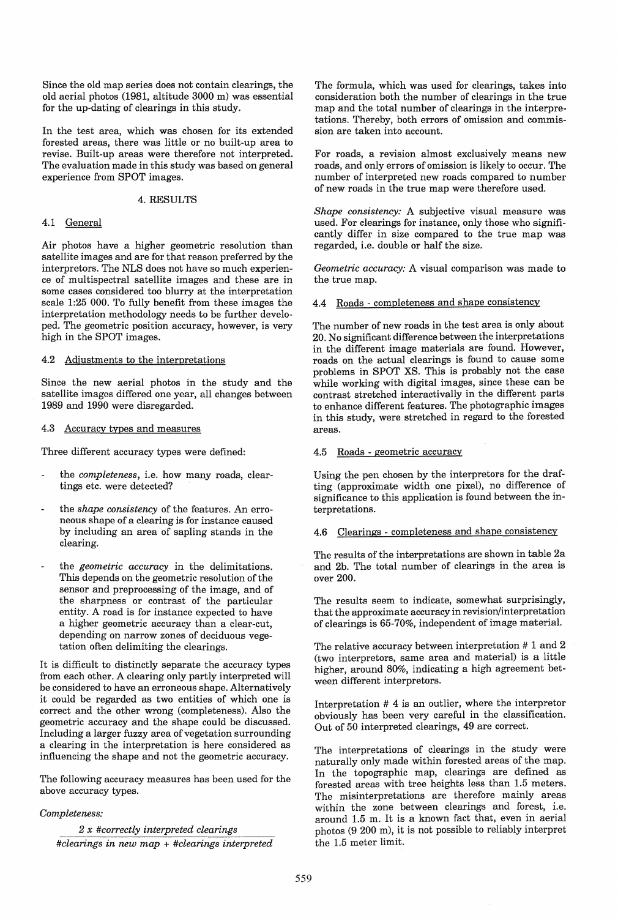Since the old map series does not contain clearings, the old aerial photos (1981, altitude 3000 m) was essential for the up-dating of clearings in this study.

In the test area, which was chosen for its extended forested areas, there was little or no built-up area to revise. Built-up areas were therefore not interpreted. The evaluation made in this study was based on general experience from SPOT images.

# 4. RESULTS

### 4.1 General

Air photos have a higher geometric resolution than satellite images and are for that reason preferred by the interpretors. The NLS does not have so much experience of multispectral satellite images and these are in some cases considered too blurry at the interpretation scale 1:25 000. To fully benefit from these images the interpretation methodology needs to be further developed. The geometric position accuracy, however, is very high in the SPOT images.

4.2 Adjustments to the interpretations

Since the new aerial photos in the study and the satellite images differed one year, all changes between 1989 and 1990 were disregarded.

# 4.3 Accuracy types and measures

Three different accuracy types were defined:

- the *completeness*, i.e. how many roads, cleartings etc. were detected?
- the *shape consistency* of the features. An erroneous shape of a clearing is for instance caused by including an area of sapling stands in the clearing.
- the *geometric accuracy* in the delimitations. This depends on the geometric resolution of the sensor and preprocessing of the image, and of the sharpness or contrast of the particular entity. A road is for instance expected to have a higher geometric accuracy than a clear-cut, depending on narrow zones of deciduous vegetation often delimiting the clearings.

It is difficult to distinctly separate the accuracy types from each other. A clearing only partly interpreted will be considered to have an erroneous shape. Alternatively it could be regarded as two entities of which one is correct and the other wrong (completeness). Also the geometric accuracy and the shape could be discussed. Including a larger fuzzy area of vegetation surrounding a clearing in the interpretation is here considered as influencing the shape and not the geometric accuracy.

The following accuracy measures has been used for the above accuracy types.

# *Completeness:*

*2 x #correctly interpreted clearings #clearings in new map* + *#clearings interpreted*  The formula, which was used for clearings, takes into consideration both the number of clearings in the true map and the total number of clearings in the interpretations. Thereby, both errors of omission and commission are taken into account.

For roads, a revision almost exclusively means new roads, and only errors of omission is likely to occur. The number of interpreted new roads compared to number of new roads in the true map were therefore used.

*Shape consistency:* A subjective visual measure was used. For clearings for instance, only those who significantly differ in size compared to the true map was regarded, i.e. double or half the size.

*Geometric accuracy:* A visual comparison was made to the true map.

4.4 Roads - completeness and shape consistency

The number of new roads in the test area is only about 20. No significant difference between the interpretations in the different image materials are found. However, roads on the actual clearings is found to cause some problems in SPOT XS. This is probably not the case while working with digital images, since these can be contrast stretched interactivally in the different parts to enhance different features. The photographic images in this study, were stretched in regard to the forested areas.

#### 4.5 Roads - geometric accuracy

Using the pen chosen by the interpretors for the drafting (approximate width one pixel), no difference of significance to this application is found between the interpretations.

4.6 Clearings - completeness and shape consistency

The results of the interpretations are shown in table 2a and 2b. The total number of clearings in the area is over 200.

The results seem to indicate, somewhat surprisingly, that the approximate accuracy in revision/interpretation of clearings is 65-70%, independent of image material.

The relative accuracy between interpretation # 1 and 2 (two interpretors, same area and material) is a little higher, around 80%, indicating a high agreement between different interpretors.

Interpretation # 4 is an outlier, where the interpretor obviously has been very careful in the classification. Out of 50 interpreted clearings, 49 are correct.

The interpretations of clearings in the study were naturally only made within forested areas of the map. In the topographic map, clearings are defined as forested areas with tree heights less than 1.5 meters. The misinterpretations are therefore mainly areas within the zone between clearings and forest, i.e. around 1.5 m. It is a known fact that, even in aerial photos (9 200 m), it is not possible to reliably interpret the 1.5 meter limit.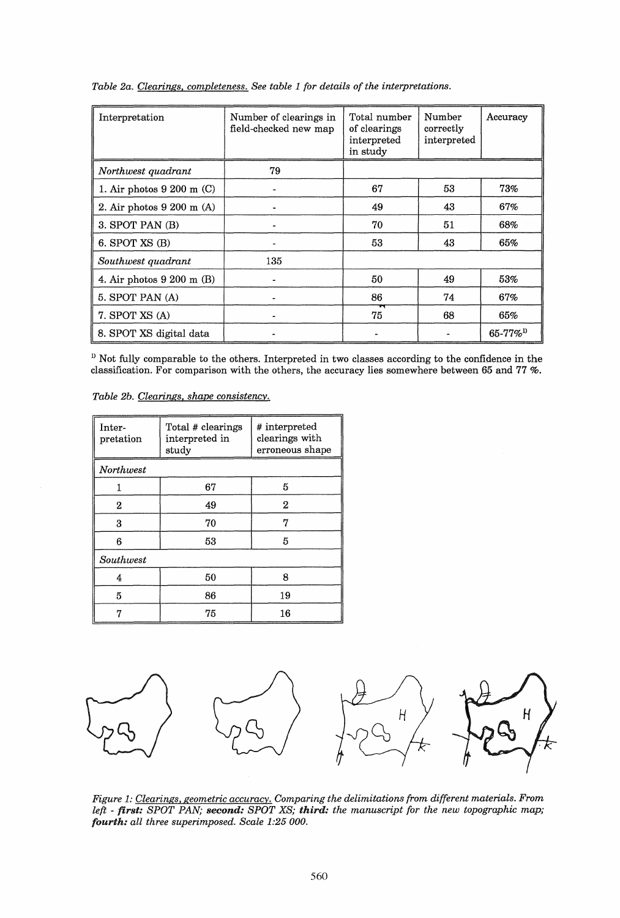| Interpretation                       | Number of clearings in<br>field-checked new map | Total number<br>of clearings<br>interpreted<br>in study | Number<br>correctly<br>interpreted | Accuracy                  |
|--------------------------------------|-------------------------------------------------|---------------------------------------------------------|------------------------------------|---------------------------|
| Northwest quadrant                   | 79                                              |                                                         |                                    |                           |
| 1. Air photos $9200 \text{ m}$ (C)   |                                                 | 67                                                      | 53                                 | 73%                       |
| 2. Air photos $9200$ m (A)           |                                                 | 49                                                      | 43                                 | 67%                       |
| 3. SPOT PAN (B)                      |                                                 | 70                                                      | 51                                 | 68%                       |
| 6. SPOT $XS(B)$                      | $\bullet$                                       | 53                                                      | 43                                 | 65%                       |
| Southwest quadrant                   | 135                                             |                                                         |                                    |                           |
| 4. Air photos $9\ 200 \text{ m}$ (B) |                                                 | 50                                                      | 49                                 | 53%                       |
| 5. SPOT PAN (A)                      |                                                 | 86                                                      | 74                                 | 67%                       |
| 7. SPOT XS (A)                       |                                                 | 75                                                      | 68                                 | 65%                       |
| 8. SPOT XS digital data              |                                                 |                                                         |                                    | $65 - 77\%$ <sup>1)</sup> |

*Table 2a. Clearings. completeness. See table* 1 *for details of the interpretations.* 

 $1<sup>D</sup>$  Not fully comparable to the others. Interpreted in two classes according to the confidence in the classification. For comparison with the others, the accuracy lies somewhere between 65 and 77 %.

*Table 2b. Clearings. shape consistency.* 

| Inter-<br>pretation | Total # clearings<br>interpreted in<br>study | # interpreted<br>clearings with<br>erroneous shape |  |  |  |
|---------------------|----------------------------------------------|----------------------------------------------------|--|--|--|
| Northwest           |                                              |                                                    |  |  |  |
| 1                   | 67                                           | 5                                                  |  |  |  |
| $\boldsymbol{2}$    | 49                                           | $\boldsymbol{2}$                                   |  |  |  |
| 3                   | 70                                           | 7                                                  |  |  |  |
| 6                   | 53                                           | 5                                                  |  |  |  |
| Southwest           |                                              |                                                    |  |  |  |
| 4                   | 50                                           | 8                                                  |  |  |  |
| 5                   | 86                                           | 19                                                 |  |  |  |
| 17                  | 75                                           | 16                                                 |  |  |  |



*Figure* 1: *Clearings. geometric accuracy. Comparing the delimitations from different materials. From left* - *first: SPOT PAN; second: SPOT XS; third: the manuscript for the new topographic map; fourth: all three superimposed. Scale 1:25000.*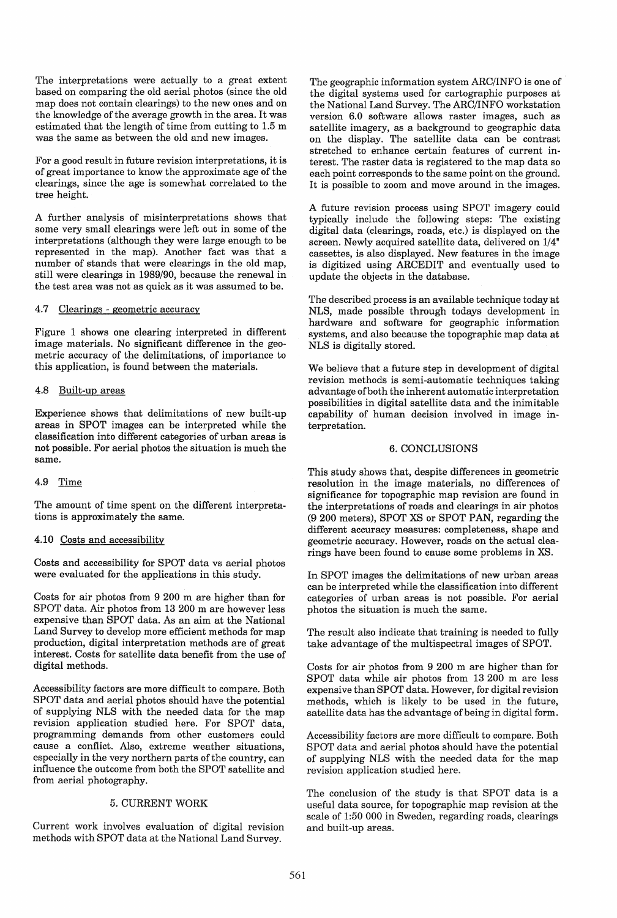The interpretations were actually to a great extent based on comparing the old aerial photos (since the old map does not contain clearings) to the new ones and on the knowledge of the average growth in the area. It was estimated that the length of time from cutting to 1.5 m was the same as between the old and new images.

For a good result in future revision interpretations, it is of great importance to know the approximate age of the clearings, since the age is somewhat correlated to the tree height.

A further analysis of misinterpretations shows that some very small clearings were left out in some of the interpretations (although they were large enough to be represented in the map). Another fact was that a number of stands that were clearings in the old map, still were clearings in 1989/90, because the renewal in the test area was not as quick as it was assumed to be.

### 4.7 Clearings - geometric accuracy

Figure 1 shows one clearing interpreted in different image materials. No significant difference in the geometric accuracy of the delimitations, of importance to this application, is found between the materials.

### 4.8 Built-up areas

Experience shows that delimitations of new built-up areas in SPOT images can be interpreted while the classification into different categories of urban areas is not possible. For aerial photos the situation is much the same.

### 4.9 Time

The amount of time spent on the different interpretations is approximately the same.

# 4.10 Costs and accessibility

Costs and accessibility for SPOT data vs aerial photos were evaluated for the applications in this study.

Costs for air photos from 9 200 m are higher than for SPOT data. Air photos from 13 200 m are however less expensive than SPOT data. As an aim at the National Land Survey to develop more efficient methods for map production, digital interpretation methods are of great interest. Costs for satellite data benefit from the use of digital methods.

Accessibility factors are more difficult to compare. Both SPOT data and aerial photos should have the potential of supplying NLS with the needed data for the map revision application studied here. For SPOT data, programming demands from other customers could cause a conflict. Also, extreme weather situations, especially in the very northern parts of the country, can influence the outcome from both the SPOT satellite and from aerial photography.

#### 5. CURRENT WORK

Current work involves evaluation of digital revision methods with SPOT data at the National Land Survey.

The geographic information system ARC/INFO is one of the digital systems used for cartographic purposes at the National Land Survey. The ARC/INFO workstation version 6.0 software allows raster images, such as satellite imagery, as a background to geographic data on the display. The satellite data can be contrast stretched to enhance certain features of current interest. The raster data is registered to the map data so each point corresponds to the same point on the ground. It is possible to zoom and move around in the images.

A future revision process using SPOT imagery could typically include the following steps: The existing digital data (clearings, roads, etc.) is displayed on the screen. Newly acquired satellite data, delivered on 1/4" cassettes, is also displayed. New features in the image is digitized using ARCEDIT and eventually used to update the objects in the database.

The described process is an available technique today at NLS, made possible through todays development in hardware and software for geographic information systems, and also because the topographic map data at NLS is digitally stored.

We believe that a future step in development of digital revision methods is semi-automatic techniques taking advantage of both the inherent automatic interpretation possibilities in digital satellite data and the inimitable capability of human decision involved in image interpretation.

#### 6. CONCLUSIONS

This study shows that, despite differences in geometric resolution in the image materials, no differences of significance for topographic map revision are found in the interpretations of roads and clearings in air photos (9 200 meters), SPOT XS or SPOT PAN, regarding the different accuracy measures: completeness, shape and geometric accuracy. However, roads on the actual clearings have been found to cause some problems in XS.

In SPOT images the delimitations of new urban areas can be interpreted while the classification into different categories of urban areas is not possible. For aerial photos the situation is much the same.

The result also indicate that training is needed to fully take advantage of the multispectral images of SPOT.

Costs for air photos from 9 200 m are higher than for SPOT data while air photos from 13 200 m are less expensive than SPOT data. However, for digital revision methods, which is likely to be used in the future, satellite data has the advantage of being in digital form.

Accessibility factors are more difficult to compare. Both SPOT data and aerial photos should have the potential of supplying NLS with the needed data for the map revision application studied here.

The conclusion of the study is that SPOT data is a useful data source, for topographic map revision at the scale of 1:50 000 in Sweden, regarding roads, clearings and built-up areas.